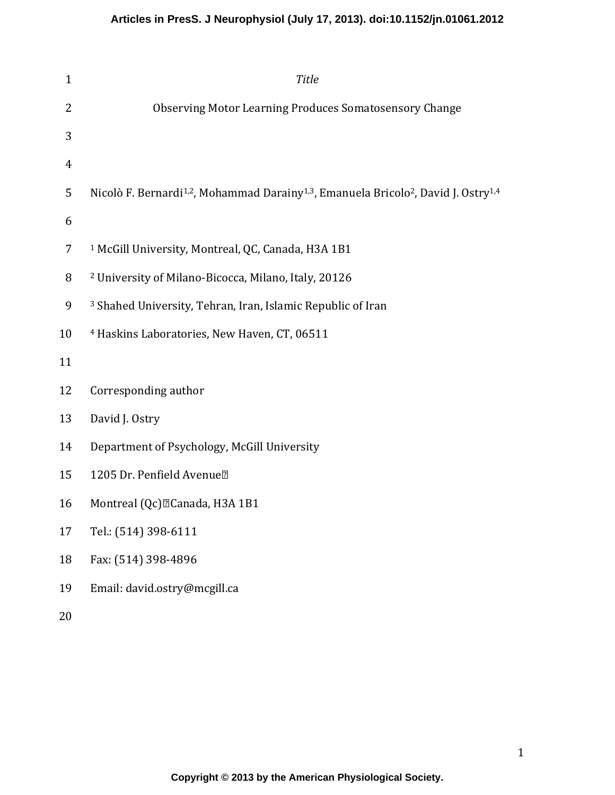# **Articles in PresS. J Neurophysiol (July 17, 2013). doi:10.1152/jn.01061.2012**

| $\mathbf{1}$   | <b>Title</b>                                                                                                                        |
|----------------|-------------------------------------------------------------------------------------------------------------------------------------|
| 2              | Observing Motor Learning Produces Somatosensory Change                                                                              |
| 3              |                                                                                                                                     |
| $\overline{4}$ |                                                                                                                                     |
| 5              | Nicolò F. Bernardi <sup>1,2</sup> , Mohammad Darainy <sup>1,3</sup> , Emanuela Bricolo <sup>2</sup> , David J. Ostry <sup>1,4</sup> |
| 6              |                                                                                                                                     |
| 7              | <sup>1</sup> McGill University, Montreal, QC, Canada, H3A 1B1                                                                       |
| 8              | <sup>2</sup> University of Milano-Bicocca, Milano, Italy, 20126                                                                     |
| 9              | <sup>3</sup> Shahed University, Tehran, Iran, Islamic Republic of Iran                                                              |
| 10             | <sup>4</sup> Haskins Laboratories, New Haven, CT, 06511                                                                             |
| 11             |                                                                                                                                     |
| 12             | Corresponding author                                                                                                                |
| 13             | David J. Ostry                                                                                                                      |
| 14             | Department of Psychology, McGill University                                                                                         |
| 15             | 1205 Dr. Penfield Avenue <sup>[2]</sup>                                                                                             |
| 16             | Montreal (Qc) <sup>[2]</sup> Canada, H3A 1B1                                                                                        |
| 17             | Tel.: (514) 398-6111                                                                                                                |
| 18             | Fax: (514) 398-4896                                                                                                                 |
| 19             | Email: david.ostry@mcgill.ca                                                                                                        |
|                |                                                                                                                                     |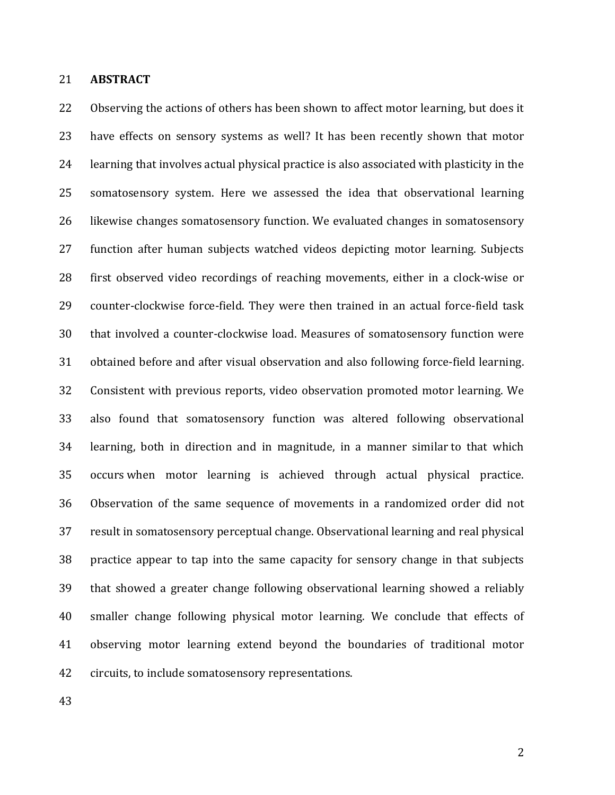### 21 **ABSTRACT**

22 Observing the actions of others has been shown to affect motor learning, but does it 23 have effects on sensory systems as well? It has been recently shown that motor 24 learning that involves actual physical practice is also associated with plasticity in the 25 somatosensory system. Here we assessed the idea that observational learning 26 likewise changes somatosensory function. We evaluated changes in somatosensory 27 function after human subjects watched videos depicting motor learning. Subjects 28 first observed video recordings of reaching movements, either in a clock-wise or 29 counter-clockwise force-field. They were then trained in an actual force-field task 30 that involved a counter-clockwise load. Measures of somatosensory function were 31 obtained before and after visual observation and also following force-field learning. 32 Consistent with previous reports, video observation promoted motor learning. We 33 also found that somatosensory function was altered following observational 34 learning, both in direction and in magnitude, in a manner similar to that which 35 occurs when motor learning is achieved through actual physical practice. 36 Observation of the same sequence of movements in a randomized order did not 37 result in somatosensory perceptual change. Observational learning and real physical 38 practice appear to tap into the same capacity for sensory change in that subjects 39 that showed a greater change following observational learning showed a reliably 40 smaller change following physical motor learning. We conclude that effects of 41 observing motor learning extend beyond the boundaries of traditional motor 42 circuits, to include somatosensory representations.

43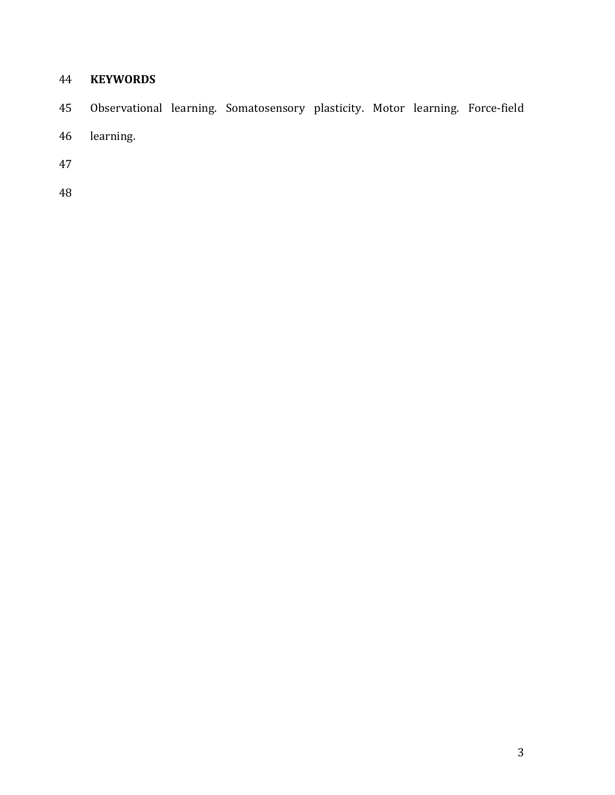# **KEYWORDS**

- 45 Observational learning. Somatosensory plasticity. Motor learning. Force-field
- 46 learning.
- 
-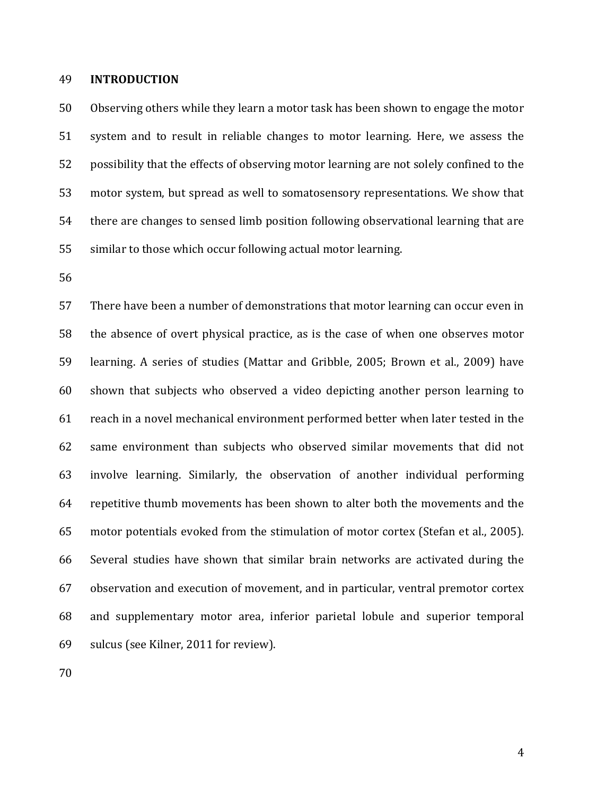#### 49 **INTRODUCTION**

50 Observing others while they learn a motor task has been shown to engage the motor 51 system and to result in reliable changes to motor learning. Here, we assess the 52 possibility that the effects of observing motor learning are not solely confined to the 53 motor system, but spread as well to somatosensory representations. We show that 54 there are changes to sensed limb position following observational learning that are 55 similar to those which occur following actual motor learning.

56

57 There have been a number of demonstrations that motor learning can occur even in 58 the absence of overt physical practice, as is the case of when one observes motor 59 learning. A series of studies (Mattar and Gribble, 2005; Brown et al., 2009) have 60 shown that subjects who observed a video depicting another person learning to 61 reach in a novel mechanical environment performed better when later tested in the 62 same environment than subjects who observed similar movements that did not 63 involve learning. Similarly, the observation of another individual performing 64 repetitive thumb movements has been shown to alter both the movements and the 65 motor potentials evoked from the stimulation of motor cortex (Stefan et al., 2005). 66 Several studies have shown that similar brain networks are activated during the 67 observation and execution of movement, and in particular, ventral premotor cortex 68 and supplementary motor area, inferior parietal lobule and superior temporal 69 sulcus (see Kilner, 2011 for review).

70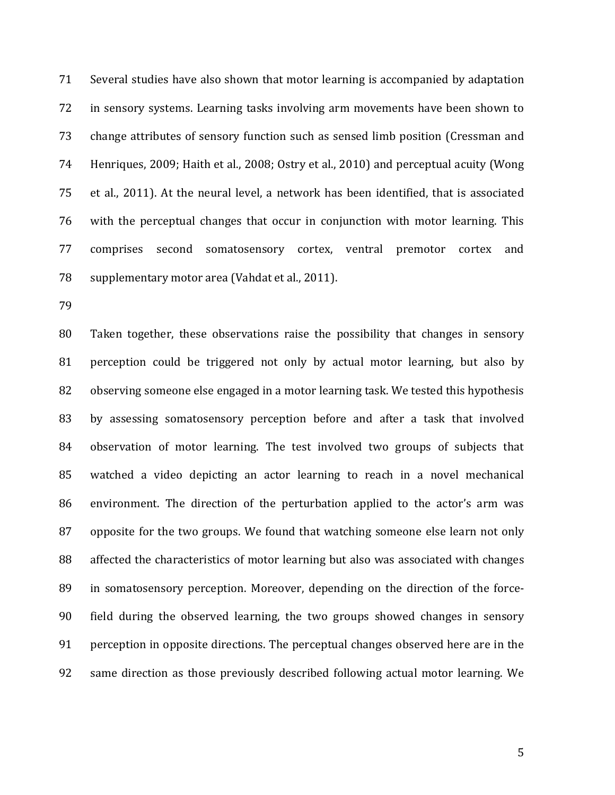71 Several studies have also shown that motor learning is accompanied by adaptation 72 in sensory systems. Learning tasks involving arm movements have been shown to 73 change attributes of sensory function such as sensed limb position (Cressman and 74 Henriques, 2009; Haith et al., 2008; Ostry et al., 2010) and perceptual acuity (Wong 75 et al., 2011). At the neural level, a network has been identified, that is associated 76 with the perceptual changes that occur in conjunction with motor learning. This 77 comprises second somatosensory cortex, ventral premotor cortex and 78 supplementary motor area (Vahdat et al., 2011).

79

80 Taken together, these observations raise the possibility that changes in sensory 81 perception could be triggered not only by actual motor learning, but also by 82 observing someone else engaged in a motor learning task. We tested this hypothesis 83 by assessing somatosensory perception before and after a task that involved 84 observation of motor learning. The test involved two groups of subjects that 85 watched a video depicting an actor learning to reach in a novel mechanical 86 environment. The direction of the perturbation applied to the actor's arm was 87 opposite for the two groups. We found that watching someone else learn not only 88 affected the characteristics of motor learning but also was associated with changes 89 in somatosensory perception. Moreover, depending on the direction of the force-90 field during the observed learning, the two groups showed changes in sensory 91 perception in opposite directions. The perceptual changes observed here are in the 92 same direction as those previously described following actual motor learning. We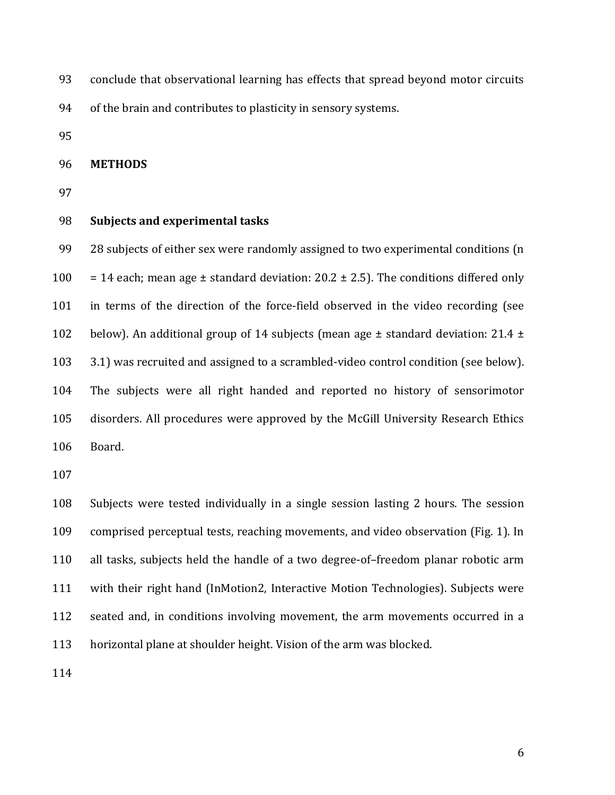- 93 conclude that observational learning has effects that spread beyond motor circuits
- 94 of the brain and contributes to plasticity in sensory systems.
- 95

#### 96 **METHODS**

97

#### 98 **Subjects and experimental tasks**

99 28 subjects of either sex were randomly assigned to two experimental conditions (n 100 = 14 each; mean age  $\pm$  standard deviation: 20.2  $\pm$  2.5). The conditions differed only 101 in terms of the direction of the force-field observed in the video recording (see 102 below). An additional group of 14 subjects (mean age  $\pm$  standard deviation: 21.4  $\pm$ 103 3.1) was recruited and assigned to a scrambled-video control condition (see below). 104 The subjects were all right handed and reported no history of sensorimotor 105 disorders. All procedures were approved by the McGill University Research Ethics 106 Board.

107

108 Subjects were tested individually in a single session lasting 2 hours. The session 109 comprised perceptual tests, reaching movements, and video observation (Fig. 1). In 110 all tasks, subjects held the handle of a two degree-of–freedom planar robotic arm 111 with their right hand (InMotion2, Interactive Motion Technologies). Subjects were 112 seated and, in conditions involving movement, the arm movements occurred in a 113 horizontal plane at shoulder height. Vision of the arm was blocked.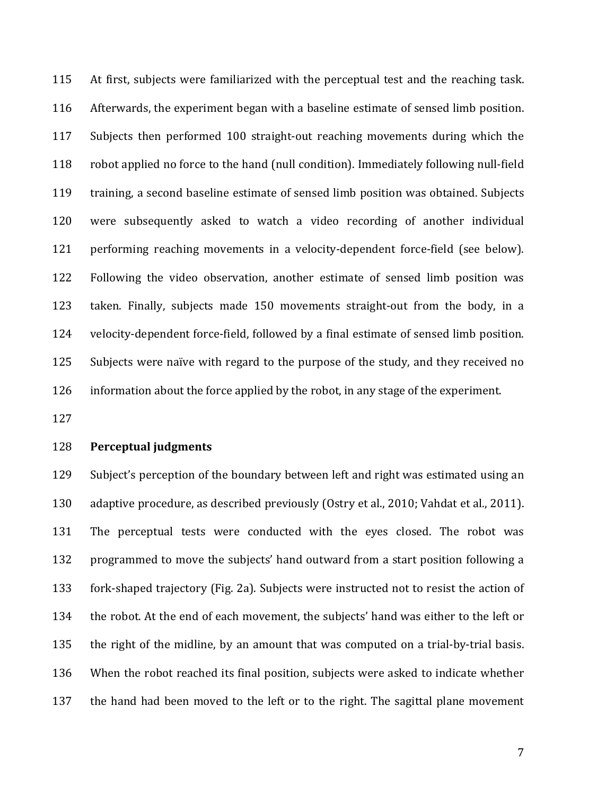115 At first, subjects were familiarized with the perceptual test and the reaching task. 116 Afterwards, the experiment began with a baseline estimate of sensed limb position. 117 Subjects then performed 100 straight-out reaching movements during which the 118 robot applied no force to the hand (null condition). Immediately following null-field 119 training, a second baseline estimate of sensed limb position was obtained. Subjects 120 were subsequently asked to watch a video recording of another individual 121 performing reaching movements in a velocity-dependent force-field (see below). 122 Following the video observation, another estimate of sensed limb position was 123 taken. Finally, subjects made 150 movements straight-out from the body, in a 124 velocity-dependent force-field, followed by a final estimate of sensed limb position. 125 Subjects were naïve with regard to the purpose of the study, and they received no 126 information about the force applied by the robot, in any stage of the experiment.

127

### 128 **Perceptual judgments**

129 Subject's perception of the boundary between left and right was estimated using an 130 adaptive procedure, as described previously (Ostry et al., 2010; Vahdat et al., 2011). 131 The perceptual tests were conducted with the eyes closed. The robot was 132 programmed to move the subjects' hand outward from a start position following a 133 fork-shaped trajectory (Fig. 2a). Subjects were instructed not to resist the action of 134 the robot. At the end of each movement, the subjects' hand was either to the left or 135 the right of the midline, by an amount that was computed on a trial-by-trial basis. 136 When the robot reached its final position, subjects were asked to indicate whether 137 the hand had been moved to the left or to the right. The sagittal plane movement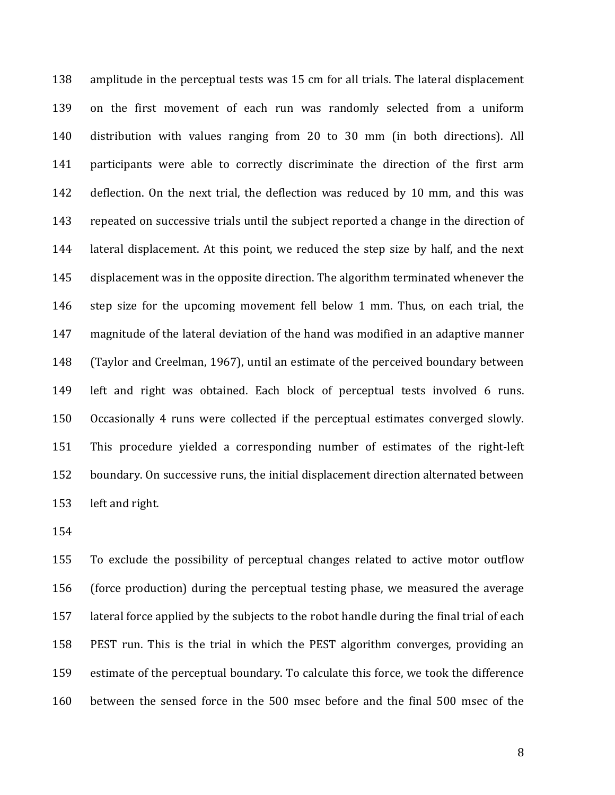138 amplitude in the perceptual tests was 15 cm for all trials. The lateral displacement 139 on the first movement of each run was randomly selected from a uniform 140 distribution with values ranging from 20 to 30 mm (in both directions). All 141 participants were able to correctly discriminate the direction of the first arm 142 deflection. On the next trial, the deflection was reduced by 10 mm, and this was 143 repeated on successive trials until the subject reported a change in the direction of 144 lateral displacement. At this point, we reduced the step size by half, and the next 145 displacement was in the opposite direction. The algorithm terminated whenever the 146 step size for the upcoming movement fell below 1 mm. Thus, on each trial, the 147 magnitude of the lateral deviation of the hand was modified in an adaptive manner 148 (Taylor and Creelman, 1967), until an estimate of the perceived boundary between 149 left and right was obtained. Each block of perceptual tests involved 6 runs. 150 Occasionally 4 runs were collected if the perceptual estimates converged slowly. 151 This procedure yielded a corresponding number of estimates of the right-left 152 boundary. On successive runs, the initial displacement direction alternated between 153 left and right.

154

155 To exclude the possibility of perceptual changes related to active motor outflow 156 (force production) during the perceptual testing phase, we measured the average 157 lateral force applied by the subjects to the robot handle during the final trial of each 158 PEST run. This is the trial in which the PEST algorithm converges, providing an 159 estimate of the perceptual boundary. To calculate this force, we took the difference 160 between the sensed force in the 500 msec before and the final 500 msec of the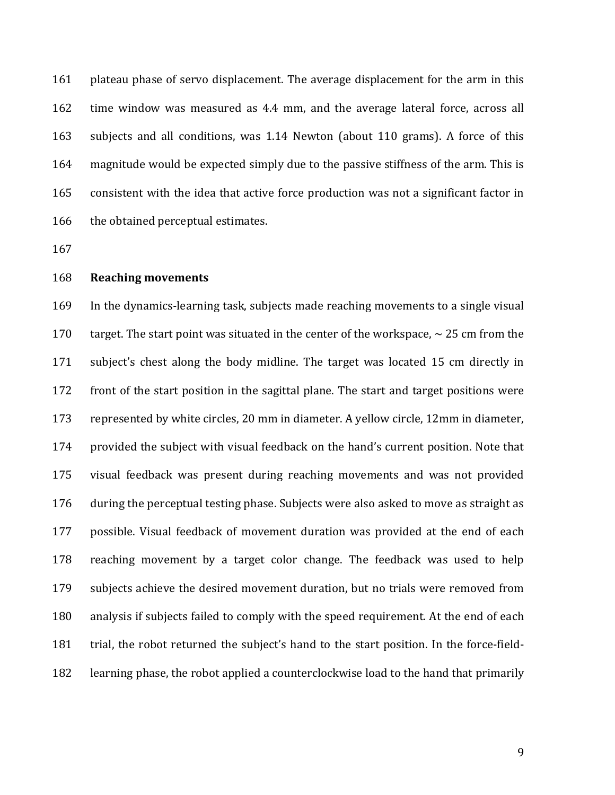161 plateau phase of servo displacement. The average displacement for the arm in this 162 time window was measured as 4.4 mm, and the average lateral force, across all 163 subjects and all conditions, was 1.14 Newton (about 110 grams). A force of this 164 magnitude would be expected simply due to the passive stiffness of the arm. This is 165 consistent with the idea that active force production was not a significant factor in 166 the obtained perceptual estimates.

167

### 168 **Reaching movements**

169 In the dynamics-learning task, subjects made reaching movements to a single visual 170 target. The start point was situated in the center of the workspace,  $\sim$  25 cm from the 171 subject's chest along the body midline. The target was located 15 cm directly in 172 front of the start position in the sagittal plane. The start and target positions were 173 represented by white circles, 20 mm in diameter. A yellow circle, 12mm in diameter, 174 provided the subject with visual feedback on the hand's current position. Note that 175 visual feedback was present during reaching movements and was not provided 176 during the perceptual testing phase. Subjects were also asked to move as straight as 177 possible. Visual feedback of movement duration was provided at the end of each 178 reaching movement by a target color change. The feedback was used to help 179 subjects achieve the desired movement duration, but no trials were removed from 180 analysis if subjects failed to comply with the speed requirement. At the end of each 181 trial, the robot returned the subject's hand to the start position. In the force-field-182 learning phase, the robot applied a counterclockwise load to the hand that primarily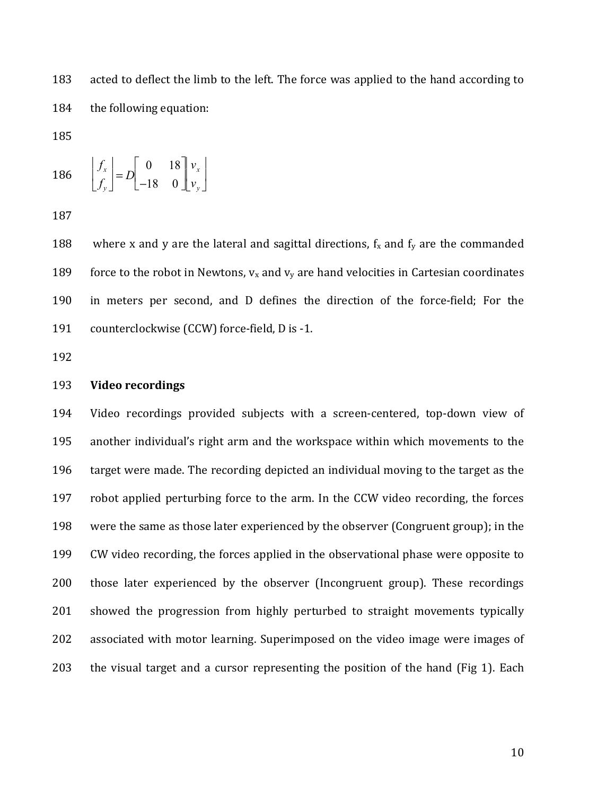183 acted to deflect the limb to the left. The force was applied to the hand according to 184 the following equation:

185

$$
186 \qquad \begin{bmatrix} f_x \\ f_y \end{bmatrix} = D \begin{bmatrix} 0 & 18 \\ -18 & 0 \end{bmatrix} \begin{bmatrix} v_x \\ v_y \end{bmatrix}
$$

187

188 where x and y are the lateral and sagittal directions,  $f_x$  and  $f_y$  are the commanded 189 force to the robot in Newtons,  $v_x$  and  $v_y$  are hand velocities in Cartesian coordinates 190 in meters per second, and D defines the direction of the force-field; For the 191 counterclockwise (CCW) force-field, D is -1.

192

### 193 **Video recordings**

194 Video recordings provided subjects with a screen-centered, top-down view of 195 another individual's right arm and the workspace within which movements to the 196 target were made. The recording depicted an individual moving to the target as the 197 robot applied perturbing force to the arm. In the CCW video recording, the forces 198 were the same as those later experienced by the observer (Congruent group); in the 199 CW video recording, the forces applied in the observational phase were opposite to 200 those later experienced by the observer (Incongruent group). These recordings 201 showed the progression from highly perturbed to straight movements typically 202 associated with motor learning. Superimposed on the video image were images of 203 the visual target and a cursor representing the position of the hand (Fig 1). Each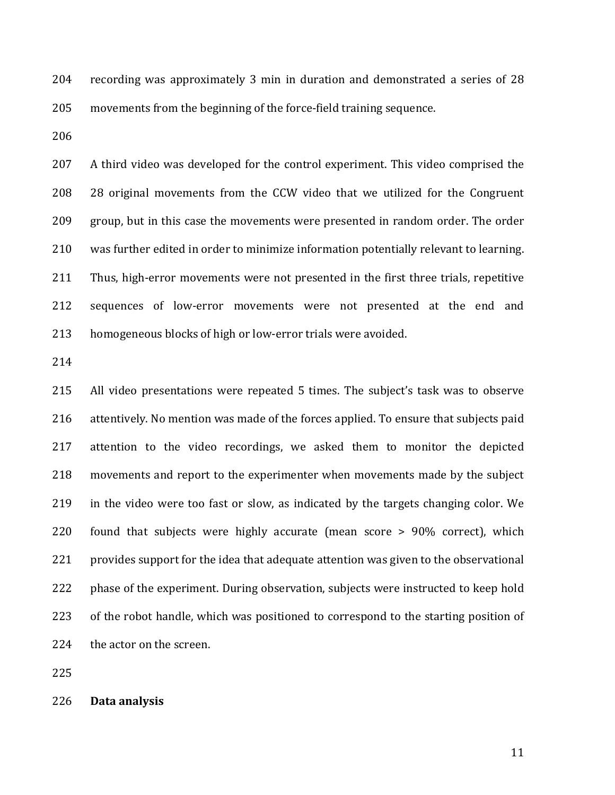204 recording was approximately 3 min in duration and demonstrated a series of 28 205 movements from the beginning of the force-field training sequence.

206

207 A third video was developed for the control experiment. This video comprised the 208 28 original movements from the CCW video that we utilized for the Congruent 209 group, but in this case the movements were presented in random order. The order 210 was further edited in order to minimize information potentially relevant to learning. 211 Thus, high-error movements were not presented in the first three trials, repetitive 212 sequences of low-error movements were not presented at the end and 213 homogeneous blocks of high or low-error trials were avoided.

214

215 All video presentations were repeated 5 times. The subject's task was to observe 216 attentively. No mention was made of the forces applied. To ensure that subjects paid 217 attention to the video recordings, we asked them to monitor the depicted 218 movements and report to the experimenter when movements made by the subject 219 in the video were too fast or slow, as indicated by the targets changing color. We 220 found that subjects were highly accurate (mean score > 90% correct), which 221 provides support for the idea that adequate attention was given to the observational 222 phase of the experiment. During observation, subjects were instructed to keep hold 223 of the robot handle, which was positioned to correspond to the starting position of 224 the actor on the screen.

225

226 **Data analysis**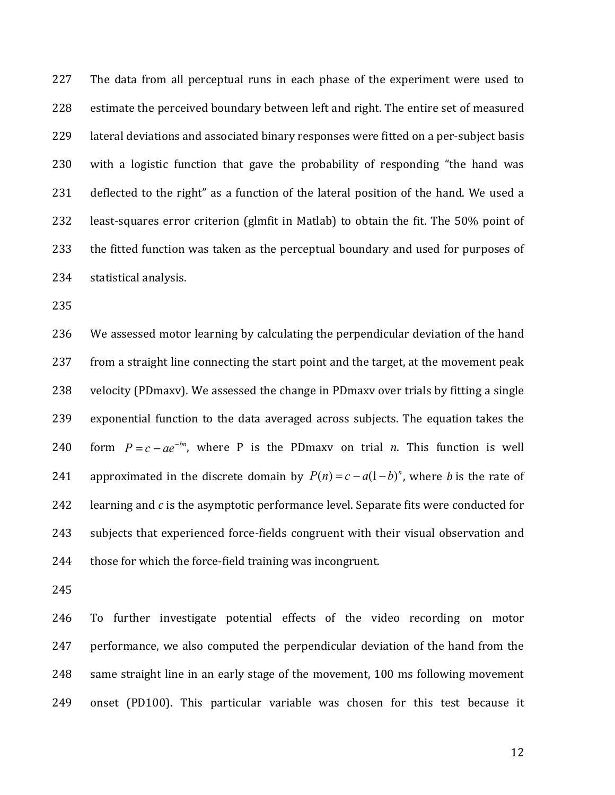227 The data from all perceptual runs in each phase of the experiment were used to 228 estimate the perceived boundary between left and right. The entire set of measured 229 lateral deviations and associated binary responses were fitted on a per-subject basis 230 with a logistic function that gave the probability of responding "the hand was 231 deflected to the right" as a function of the lateral position of the hand. We used a 232 least-squares error criterion (glmfit in Matlab) to obtain the fit. The 50% point of 233 the fitted function was taken as the perceptual boundary and used for purposes of 234 statistical analysis.

235

236 We assessed motor learning by calculating the perpendicular deviation of the hand 237 from a straight line connecting the start point and the target, at the movement peak 238 velocity (PDmaxv). We assessed the change in PDmaxv over trials by fitting a single 239 exponential function to the data averaged across subjects. The equation takes the form  $P = c - ae^{-bn}$ , where P is the PDmaxy on trial *n*. This function is well 241 approximated in the discrete domain by  $P(n) = c - a(1-b)^n$ , where *b* is the rate of 242 learning and *c* is the asymptotic performance level. Separate fits were conducted for 243 subjects that experienced force-fields congruent with their visual observation and 244 those for which the force-field training was incongruent.

245

246 To further investigate potential effects of the video recording on motor 247 performance, we also computed the perpendicular deviation of the hand from the 248 same straight line in an early stage of the movement, 100 ms following movement 249 onset (PD100). This particular variable was chosen for this test because it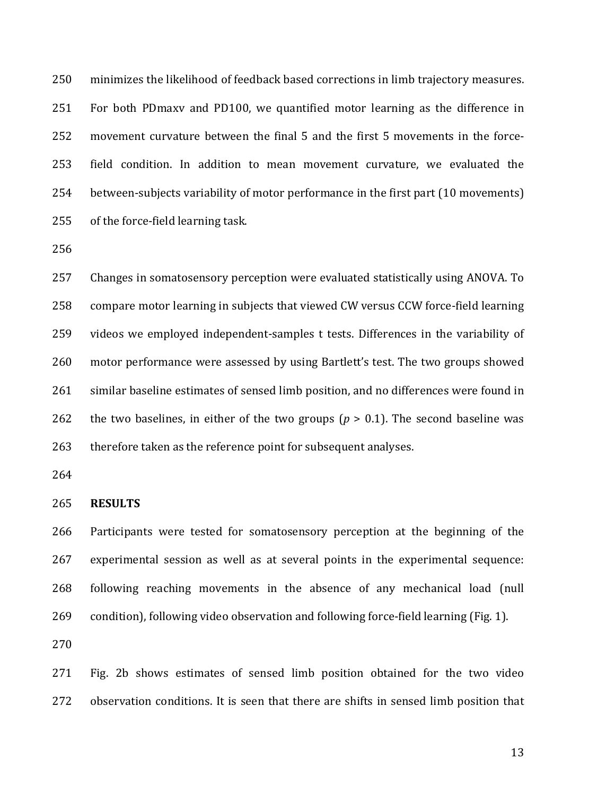250 minimizes the likelihood of feedback based corrections in limb trajectory measures. 251 For both PDmaxv and PD100, we quantified motor learning as the difference in 252 movement curvature between the final 5 and the first 5 movements in the force-253 field condition. In addition to mean movement curvature, we evaluated the 254 between-subjects variability of motor performance in the first part (10 movements) 255 of the force-field learning task.

256

257 Changes in somatosensory perception were evaluated statistically using ANOVA. To 258 compare motor learning in subjects that viewed CW versus CCW force-field learning 259 videos we employed independent-samples t tests. Differences in the variability of 260 motor performance were assessed by using Bartlett's test. The two groups showed 261 similar baseline estimates of sensed limb position, and no differences were found in 262 the two baselines, in either of the two groups  $(p > 0.1)$ . The second baseline was 263 therefore taken as the reference point for subsequent analyses.

264

#### 265 **RESULTS**

266 Participants were tested for somatosensory perception at the beginning of the 267 experimental session as well as at several points in the experimental sequence: 268 following reaching movements in the absence of any mechanical load (null 269 condition), following video observation and following force-field learning (Fig. 1).

270

271 Fig. 2b shows estimates of sensed limb position obtained for the two video 272 observation conditions. It is seen that there are shifts in sensed limb position that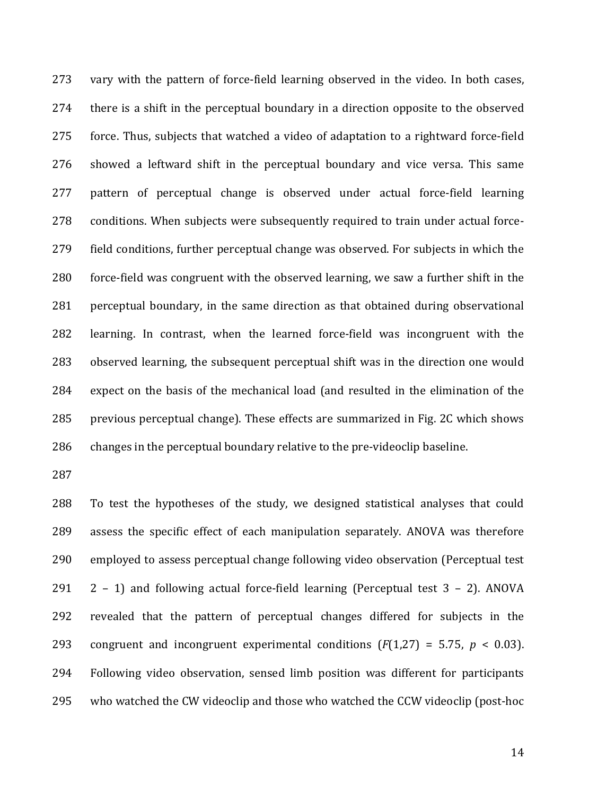273 vary with the pattern of force-field learning observed in the video. In both cases, 274 there is a shift in the perceptual boundary in a direction opposite to the observed 275 force. Thus, subjects that watched a video of adaptation to a rightward force-field 276 showed a leftward shift in the perceptual boundary and vice versa. This same 277 pattern of perceptual change is observed under actual force-field learning 278 conditions. When subjects were subsequently required to train under actual force-279 field conditions, further perceptual change was observed. For subjects in which the 280 force-field was congruent with the observed learning, we saw a further shift in the 281 perceptual boundary, in the same direction as that obtained during observational 282 learning. In contrast, when the learned force-field was incongruent with the 283 observed learning, the subsequent perceptual shift was in the direction one would 284 expect on the basis of the mechanical load (and resulted in the elimination of the 285 previous perceptual change). These effects are summarized in Fig. 2C which shows 286 changes in the perceptual boundary relative to the pre-videoclip baseline.

287

288 To test the hypotheses of the study, we designed statistical analyses that could 289 assess the specific effect of each manipulation separately. ANOVA was therefore 290 employed to assess perceptual change following video observation (Perceptual test 291  $2 - 1$  and following actual force-field learning (Perceptual test  $3 - 2$ ). ANOVA 292 revealed that the pattern of perceptual changes differed for subjects in the 293 congruent and incongruent experimental conditions  $(F(1,27) = 5.75, p < 0.03)$ . 294 Following video observation, sensed limb position was different for participants 295 who watched the CW videoclip and those who watched the CCW videoclip (post-hoc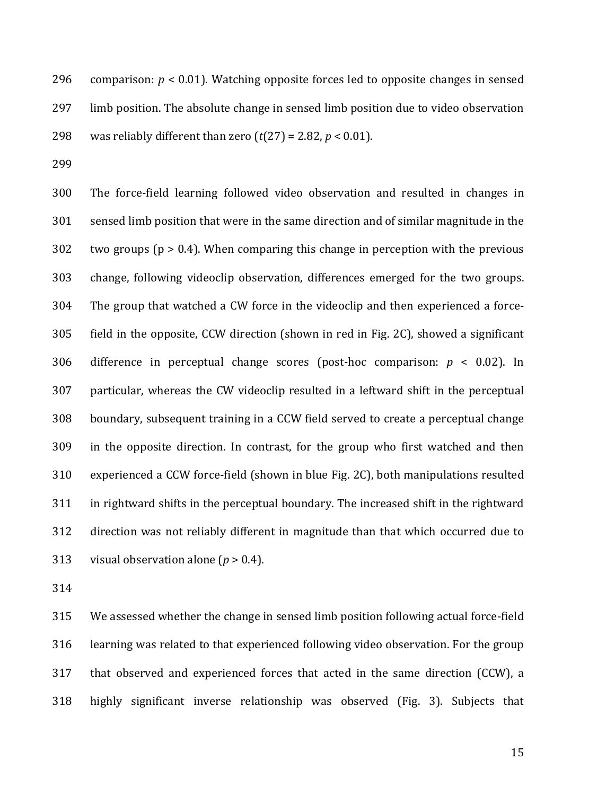296 comparison:  $p < 0.01$ ). Watching opposite forces led to opposite changes in sensed 297 limb position. The absolute change in sensed limb position due to video observation 298 was reliably different than zero  $(t(27) = 2.82, p < 0.01)$ .

299

300 The force-field learning followed video observation and resulted in changes in 301 sensed limb position that were in the same direction and of similar magnitude in the  $302$  two groups ( $p > 0.4$ ). When comparing this change in perception with the previous 303 change, following videoclip observation, differences emerged for the two groups. 304 The group that watched a CW force in the videoclip and then experienced a force-305 field in the opposite, CCW direction (shown in red in Fig. 2C), showed a significant 306 difference in perceptual change scores (post-hoc comparison: *p* < 0.02). In 307 particular, whereas the CW videoclip resulted in a leftward shift in the perceptual 308 boundary, subsequent training in a CCW field served to create a perceptual change 309 in the opposite direction. In contrast, for the group who first watched and then 310 experienced a CCW force-field (shown in blue Fig. 2C), both manipulations resulted 311 in rightward shifts in the perceptual boundary. The increased shift in the rightward 312 direction was not reliably different in magnitude than that which occurred due to 313 visual observation alone (*p* > 0.4).

314

315 We assessed whether the change in sensed limb position following actual force-field 316 learning was related to that experienced following video observation. For the group 317 that observed and experienced forces that acted in the same direction (CCW), a 318 highly significant inverse relationship was observed (Fig. 3). Subjects that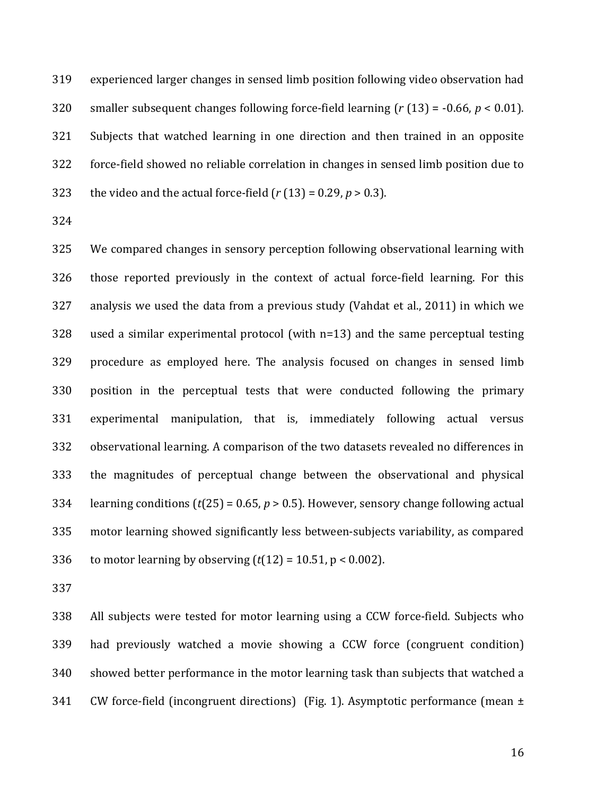319 experienced larger changes in sensed limb position following video observation had 320 smaller subsequent changes following force-field learning (*r* (13) = -0.66, *p* < 0.01). 321 Subjects that watched learning in one direction and then trained in an opposite 322 force-field showed no reliable correlation in changes in sensed limb position due to 323 the video and the actual force-field  $(r(13) = 0.29, p > 0.3)$ .

324

325 We compared changes in sensory perception following observational learning with 326 those reported previously in the context of actual force-field learning. For this 327 analysis we used the data from a previous study (Vahdat et al., 2011) in which we 328 used a similar experimental protocol (with n=13) and the same perceptual testing 329 procedure as employed here. The analysis focused on changes in sensed limb 330 position in the perceptual tests that were conducted following the primary 331 experimental manipulation, that is, immediately following actual versus 332 observational learning. A comparison of the two datasets revealed no differences in 333 the magnitudes of perceptual change between the observational and physical 334 learning conditions (*t*(25) = 0.65, *p* > 0.5). However, sensory change following actual 335 motor learning showed significantly less between-subjects variability, as compared 336 to motor learning by observing  $(t(12) = 10.51, p < 0.002)$ .

337

338 All subjects were tested for motor learning using a CCW force-field. Subjects who 339 had previously watched a movie showing a CCW force (congruent condition) 340 showed better performance in the motor learning task than subjects that watched a 341 CW force-field (incongruent directions) (Fig. 1). Asymptotic performance (mean  $\pm$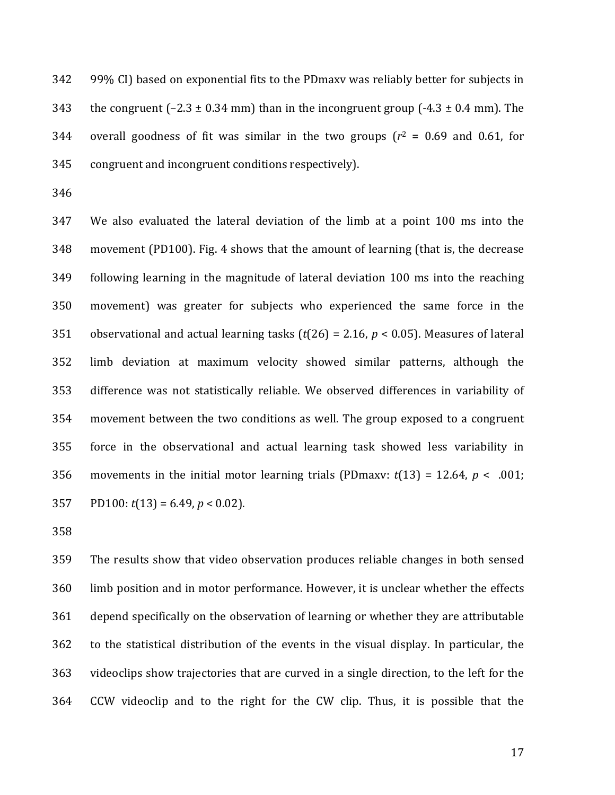342 99% CI) based on exponential fits to the PDmaxv was reliably better for subjects in 343 the congruent  $(-2.3 \pm 0.34 \text{ mm})$  than in the incongruent group  $(-4.3 \pm 0.4 \text{ mm})$ . The 344 overall goodness of fit was similar in the two groups  $(r^2 = 0.69$  and 0.61, for 345 congruent and incongruent conditions respectively).

346

347 We also evaluated the lateral deviation of the limb at a point 100 ms into the 348 movement (PD100). Fig. 4 shows that the amount of learning (that is, the decrease 349 following learning in the magnitude of lateral deviation 100 ms into the reaching 350 movement) was greater for subjects who experienced the same force in the 351 observational and actual learning tasks (*t*(26) = 2.16, *p* < 0.05). Measures of lateral 352 limb deviation at maximum velocity showed similar patterns, although the 353 difference was not statistically reliable. We observed differences in variability of 354 movement between the two conditions as well. The group exposed to a congruent 355 force in the observational and actual learning task showed less variability in 356 movements in the initial motor learning trials (PDmaxv:  $t(13) = 12.64$ ,  $p < .001$ ; 357 PD100: *t*(13) = 6.49, *p* < 0.02).

358

359 The results show that video observation produces reliable changes in both sensed 360 limb position and in motor performance. However, it is unclear whether the effects 361 depend specifically on the observation of learning or whether they are attributable 362 to the statistical distribution of the events in the visual display. In particular, the 363 videoclips show trajectories that are curved in a single direction, to the left for the 364 CCW videoclip and to the right for the CW clip. Thus, it is possible that the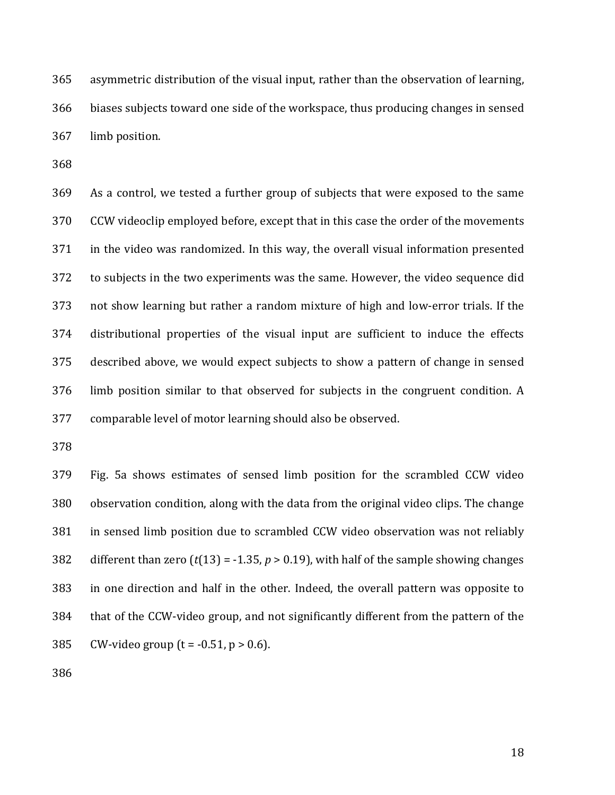365 asymmetric distribution of the visual input, rather than the observation of learning, 366 biases subjects toward one side of the workspace, thus producing changes in sensed 367 limb position.

368

369 As a control, we tested a further group of subjects that were exposed to the same 370 CCW videoclip employed before, except that in this case the order of the movements 371 in the video was randomized. In this way, the overall visual information presented 372 to subjects in the two experiments was the same. However, the video sequence did 373 not show learning but rather a random mixture of high and low-error trials. If the 374 distributional properties of the visual input are sufficient to induce the effects 375 described above, we would expect subjects to show a pattern of change in sensed 376 limb position similar to that observed for subjects in the congruent condition. A 377 comparable level of motor learning should also be observed.

378

379 Fig. 5a shows estimates of sensed limb position for the scrambled CCW video 380 observation condition, along with the data from the original video clips. The change 381 in sensed limb position due to scrambled CCW video observation was not reliably 382 different than zero  $(t(13) = -1.35, p > 0.19)$ , with half of the sample showing changes 383 in one direction and half in the other. Indeed, the overall pattern was opposite to 384 that of the CCW-video group, and not significantly different from the pattern of the 385 CW-video group  $(t = -0.51, p > 0.6)$ .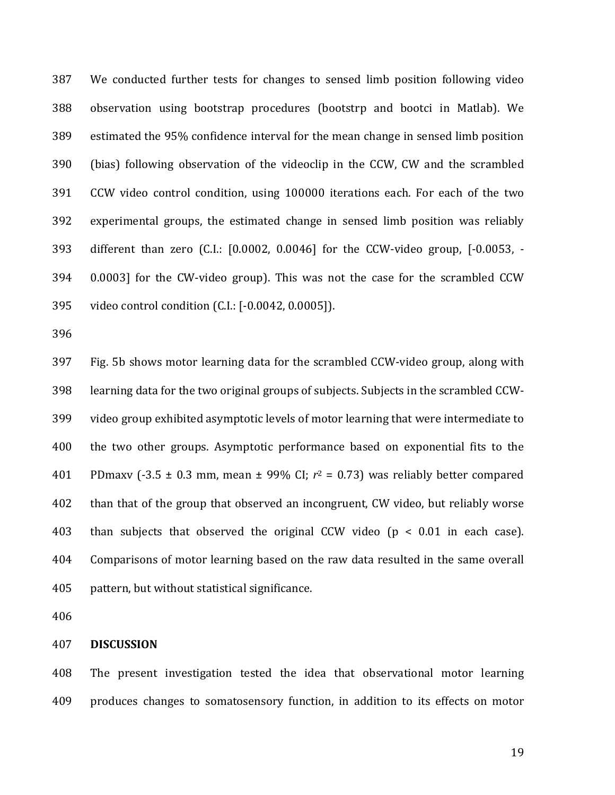387 We conducted further tests for changes to sensed limb position following video 388 observation using bootstrap procedures (bootstrp and bootci in Matlab). We 389 estimated the 95% confidence interval for the mean change in sensed limb position 390 (bias) following observation of the videoclip in the CCW, CW and the scrambled 391 CCW video control condition, using 100000 iterations each. For each of the two 392 experimental groups, the estimated change in sensed limb position was reliably 393 different than zero (C.I.: [0.0002, 0.0046] for the CCW-video group, [-0.0053, - 394 0.0003] for the CW-video group). This was not the case for the scrambled CCW 395 video control condition (C.I.: [-0.0042, 0.0005]).

396

397 Fig. 5b shows motor learning data for the scrambled CCW-video group, along with 398 learning data for the two original groups of subjects. Subjects in the scrambled CCW-399 video group exhibited asymptotic levels of motor learning that were intermediate to 400 the two other groups. Asymptotic performance based on exponential fits to the 401 PDmaxv (-3.5  $\pm$  0.3 mm, mean  $\pm$  99% CI;  $r^2$  = 0.73) was reliably better compared 402 than that of the group that observed an incongruent, CW video, but reliably worse 403 than subjects that observed the original CCW video  $(p < 0.01$  in each case). 404 Comparisons of motor learning based on the raw data resulted in the same overall 405 pattern, but without statistical significance.

406

#### 407 **DISCUSSION**

408 The present investigation tested the idea that observational motor learning 409 produces changes to somatosensory function, in addition to its effects on motor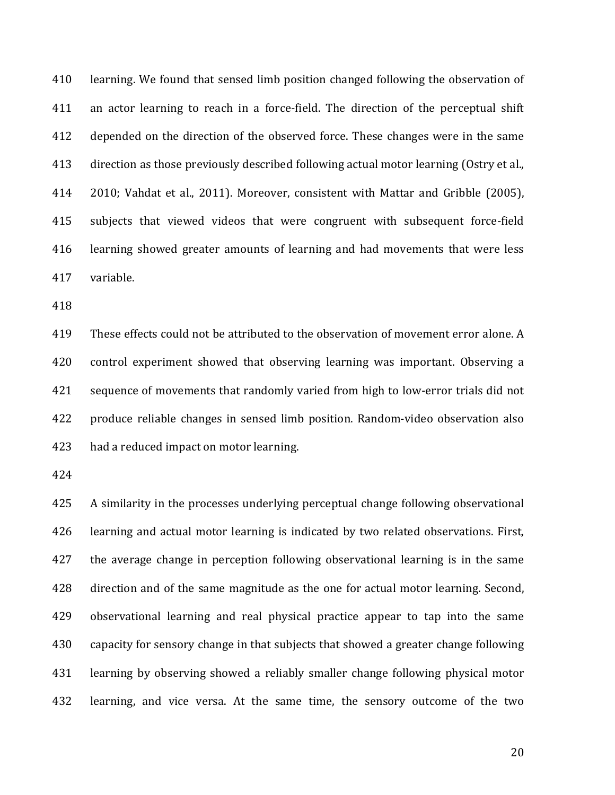410 learning. We found that sensed limb position changed following the observation of 411 an actor learning to reach in a force-field. The direction of the perceptual shift 412 depended on the direction of the observed force. These changes were in the same 413 direction as those previously described following actual motor learning (Ostry et al., 414 2010; Vahdat et al., 2011). Moreover, consistent with Mattar and Gribble (2005), 415 subjects that viewed videos that were congruent with subsequent force-field 416 learning showed greater amounts of learning and had movements that were less 417 variable.

418

419 These effects could not be attributed to the observation of movement error alone. A 420 control experiment showed that observing learning was important. Observing a 421 sequence of movements that randomly varied from high to low-error trials did not 422 produce reliable changes in sensed limb position. Random-video observation also 423 had a reduced impact on motor learning.

424

425 A similarity in the processes underlying perceptual change following observational 426 learning and actual motor learning is indicated by two related observations. First, 427 the average change in perception following observational learning is in the same 428 direction and of the same magnitude as the one for actual motor learning. Second, 429 observational learning and real physical practice appear to tap into the same 430 capacity for sensory change in that subjects that showed a greater change following 431 learning by observing showed a reliably smaller change following physical motor 432 learning, and vice versa. At the same time, the sensory outcome of the two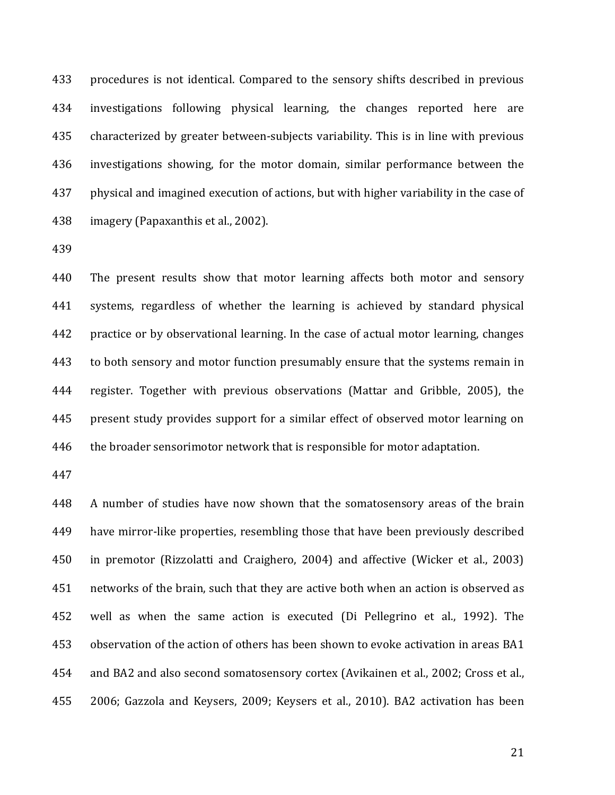433 procedures is not identical. Compared to the sensory shifts described in previous 434 investigations following physical learning, the changes reported here are 435 characterized by greater between-subjects variability. This is in line with previous 436 investigations showing, for the motor domain, similar performance between the 437 physical and imagined execution of actions, but with higher variability in the case of 438 imagery (Papaxanthis et al., 2002).

439

440 The present results show that motor learning affects both motor and sensory 441 systems, regardless of whether the learning is achieved by standard physical 442 practice or by observational learning. In the case of actual motor learning, changes 443 to both sensory and motor function presumably ensure that the systems remain in 444 register. Together with previous observations (Mattar and Gribble, 2005), the 445 present study provides support for a similar effect of observed motor learning on 446 the broader sensorimotor network that is responsible for motor adaptation.

447

448 A number of studies have now shown that the somatosensory areas of the brain 449 have mirror-like properties, resembling those that have been previously described 450 in premotor (Rizzolatti and Craighero, 2004) and affective (Wicker et al., 2003) 451 networks of the brain, such that they are active both when an action is observed as 452 well as when the same action is executed (Di Pellegrino et al., 1992). The 453 observation of the action of others has been shown to evoke activation in areas BA1 454 and BA2 and also second somatosensory cortex (Avikainen et al., 2002; Cross et al., 455 2006; Gazzola and Keysers, 2009; Keysers et al., 2010). BA2 activation has been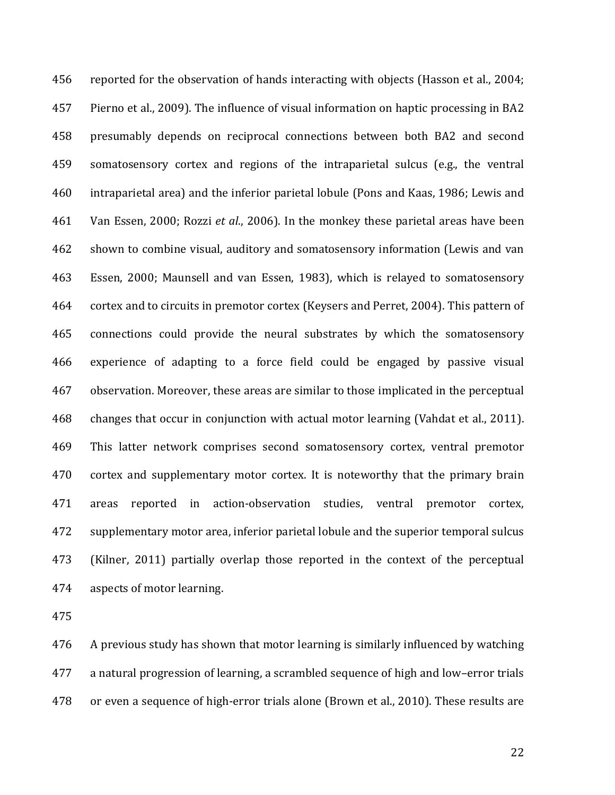456 reported for the observation of hands interacting with objects (Hasson et al., 2004; 457 Pierno et al., 2009). The influence of visual information on haptic processing in BA2 458 presumably depends on reciprocal connections between both BA2 and second 459 somatosensory cortex and regions of the intraparietal sulcus (e.g., the ventral 460 intraparietal area) and the inferior parietal lobule (Pons and Kaas, 1986; Lewis and 461 Van Essen, 2000; Rozzi *et al*., 2006). In the monkey these parietal areas have been 462 shown to combine visual, auditory and somatosensory information (Lewis and van 463 Essen, 2000; Maunsell and van Essen, 1983), which is relayed to somatosensory 464 cortex and to circuits in premotor cortex (Keysers and Perret, 2004). This pattern of 465 connections could provide the neural substrates by which the somatosensory 466 experience of adapting to a force field could be engaged by passive visual 467 observation. Moreover, these areas are similar to those implicated in the perceptual 468 changes that occur in conjunction with actual motor learning (Vahdat et al., 2011). 469 This latter network comprises second somatosensory cortex, ventral premotor 470 cortex and supplementary motor cortex. It is noteworthy that the primary brain 471 areas reported in action-observation studies, ventral premotor cortex, 472 supplementary motor area, inferior parietal lobule and the superior temporal sulcus 473 (Kilner, 2011) partially overlap those reported in the context of the perceptual 474 aspects of motor learning.

475

476 A previous study has shown that motor learning is similarly influenced by watching 477 a natural progression of learning, a scrambled sequence of high and low–error trials 478 or even a sequence of high-error trials alone (Brown et al., 2010). These results are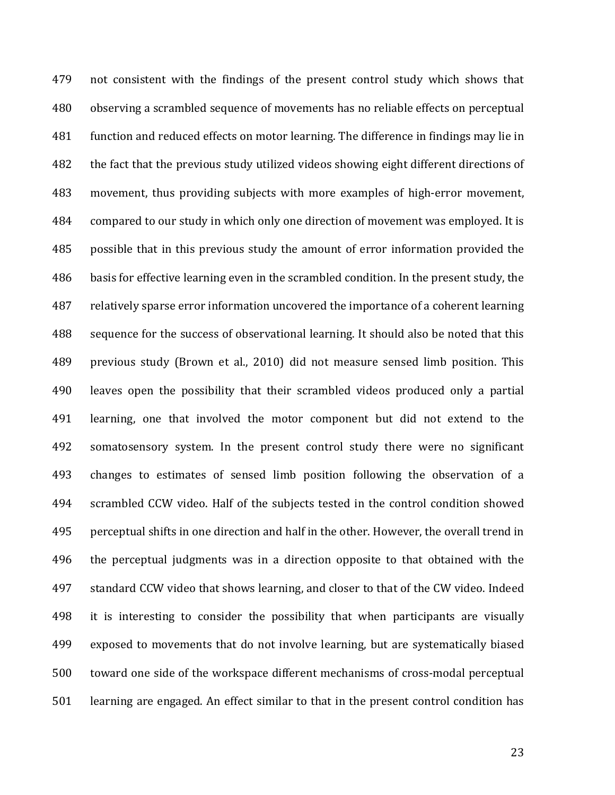479 not consistent with the findings of the present control study which shows that 480 observing a scrambled sequence of movements has no reliable effects on perceptual 481 function and reduced effects on motor learning. The difference in findings may lie in 482 the fact that the previous study utilized videos showing eight different directions of 483 movement, thus providing subjects with more examples of high-error movement, 484 compared to our study in which only one direction of movement was employed. It is 485 possible that in this previous study the amount of error information provided the 486 basis for effective learning even in the scrambled condition. In the present study, the 487 relatively sparse error information uncovered the importance of a coherent learning 488 sequence for the success of observational learning. It should also be noted that this 489 previous study (Brown et al., 2010) did not measure sensed limb position. This 490 leaves open the possibility that their scrambled videos produced only a partial 491 learning, one that involved the motor component but did not extend to the 492 somatosensory system. In the present control study there were no significant 493 changes to estimates of sensed limb position following the observation of a 494 scrambled CCW video. Half of the subjects tested in the control condition showed 495 perceptual shifts in one direction and half in the other. However, the overall trend in 496 the perceptual judgments was in a direction opposite to that obtained with the 497 standard CCW video that shows learning, and closer to that of the CW video. Indeed 498 it is interesting to consider the possibility that when participants are visually 499 exposed to movements that do not involve learning, but are systematically biased 500 toward one side of the workspace different mechanisms of cross-modal perceptual 501 learning are engaged. An effect similar to that in the present control condition has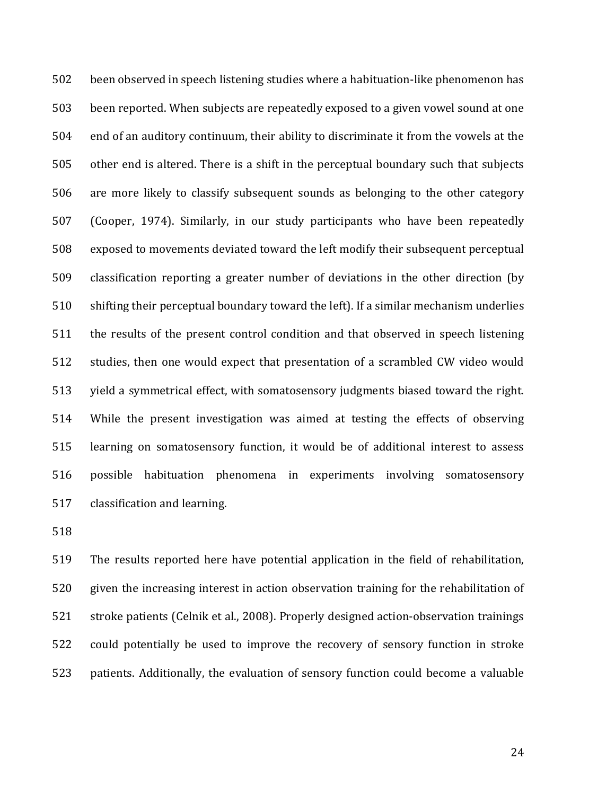502 been observed in speech listening studies where a habituation-like phenomenon has 503 been reported. When subjects are repeatedly exposed to a given vowel sound at one 504 end of an auditory continuum, their ability to discriminate it from the vowels at the 505 other end is altered. There is a shift in the perceptual boundary such that subjects 506 are more likely to classify subsequent sounds as belonging to the other category 507 (Cooper, 1974). Similarly, in our study participants who have been repeatedly 508 exposed to movements deviated toward the left modify their subsequent perceptual 509 classification reporting a greater number of deviations in the other direction (by 510 shifting their perceptual boundary toward the left). If a similar mechanism underlies 511 the results of the present control condition and that observed in speech listening 512 studies, then one would expect that presentation of a scrambled CW video would 513 yield a symmetrical effect, with somatosensory judgments biased toward the right. 514 While the present investigation was aimed at testing the effects of observing 515 learning on somatosensory function, it would be of additional interest to assess 516 possible habituation phenomena in experiments involving somatosensory 517 classification and learning.

518

519 The results reported here have potential application in the field of rehabilitation, 520 given the increasing interest in action observation training for the rehabilitation of 521 stroke patients (Celnik et al., 2008). Properly designed action-observation trainings 522 could potentially be used to improve the recovery of sensory function in stroke 523 patients. Additionally, the evaluation of sensory function could become a valuable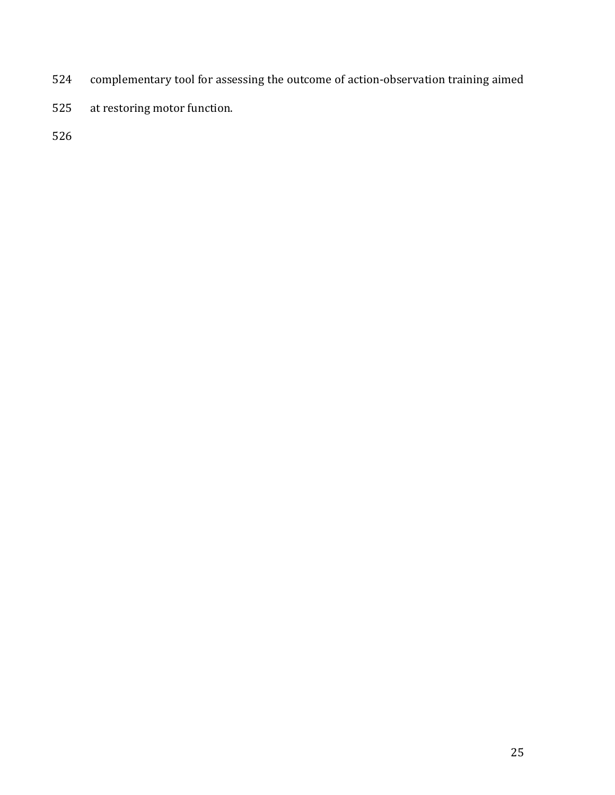- 524 complementary tool for assessing the outcome of action-observation training aimed
- 525 at restoring motor function.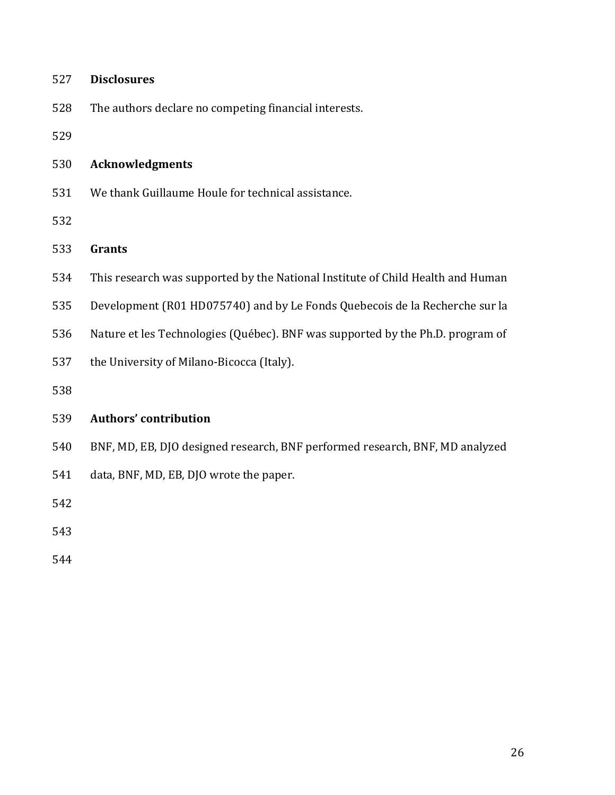528 The authors declare no competing financial interests.

529

#### 530 **Acknowledgments**

531 We thank Guillaume Houle for technical assistance.

532

### 533 **Grants**

- 534 This research was supported by the National Institute of Child Health and Human
- 535 Development (R01 HD075740) and by Le Fonds Quebecois de la Recherche sur la
- 536 Nature et les Technologies (Québec). BNF was supported by the Ph.D. program of
- 537 the University of Milano-Bicocca (Italy).

538

## 539 **Authors' contribution**

- 540 BNF, MD, EB, DJO designed research, BNF performed research, BNF, MD analyzed
- 541 data, BNF, MD, EB, DJO wrote the paper.

542

543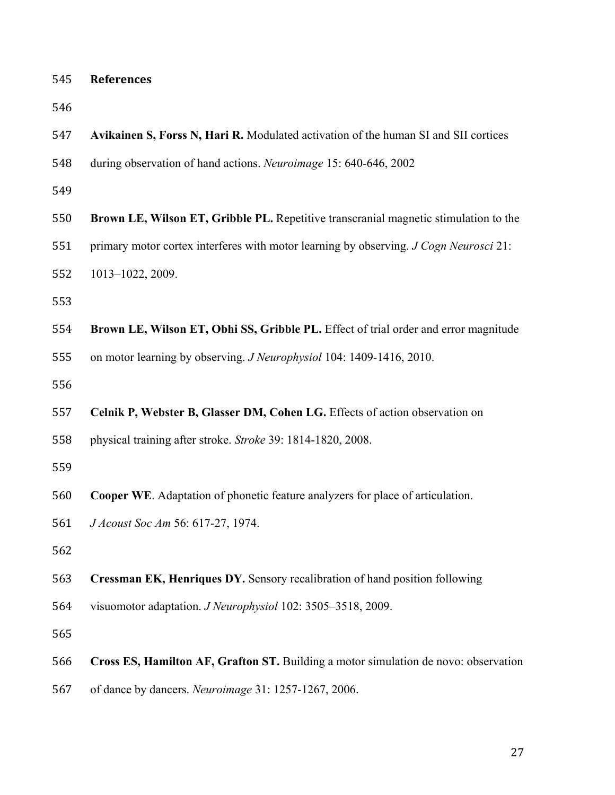| 545 | <b>References</b>                                                                     |
|-----|---------------------------------------------------------------------------------------|
| 546 |                                                                                       |
| 547 | Avikainen S, Forss N, Hari R. Modulated activation of the human SI and SII cortices   |
| 548 | during observation of hand actions. Neuroimage 15: 640-646, 2002                      |
| 549 |                                                                                       |
| 550 | Brown LE, Wilson ET, Gribble PL. Repetitive transcranial magnetic stimulation to the  |
| 551 | primary motor cortex interferes with motor learning by observing. J Cogn Neurosci 21: |
| 552 | 1013-1022, 2009.                                                                      |
| 553 |                                                                                       |
| 554 | Brown LE, Wilson ET, Obhi SS, Gribble PL. Effect of trial order and error magnitude   |
| 555 | on motor learning by observing. <i>J Neurophysiol</i> 104: 1409-1416, 2010.           |
| 556 |                                                                                       |
| 557 | Celnik P, Webster B, Glasser DM, Cohen LG. Effects of action observation on           |
| 558 | physical training after stroke. Stroke 39: 1814-1820, 2008.                           |
| 559 |                                                                                       |
| 560 | <b>Cooper WE.</b> Adaptation of phonetic feature analyzers for place of articulation. |
| 561 | J Acoust Soc Am 56: 617-27, 1974.                                                     |
| 562 |                                                                                       |
| 563 | <b>Cressman EK, Henriques DY.</b> Sensory recalibration of hand position following    |
| 564 | visuomotor adaptation. J Neurophysiol 102: 3505–3518, 2009.                           |
| 565 |                                                                                       |
| 566 | Cross ES, Hamilton AF, Grafton ST. Building a motor simulation de novo: observation   |

of dance by dancers. *Neuroimage* 31: 1257-1267, 2006.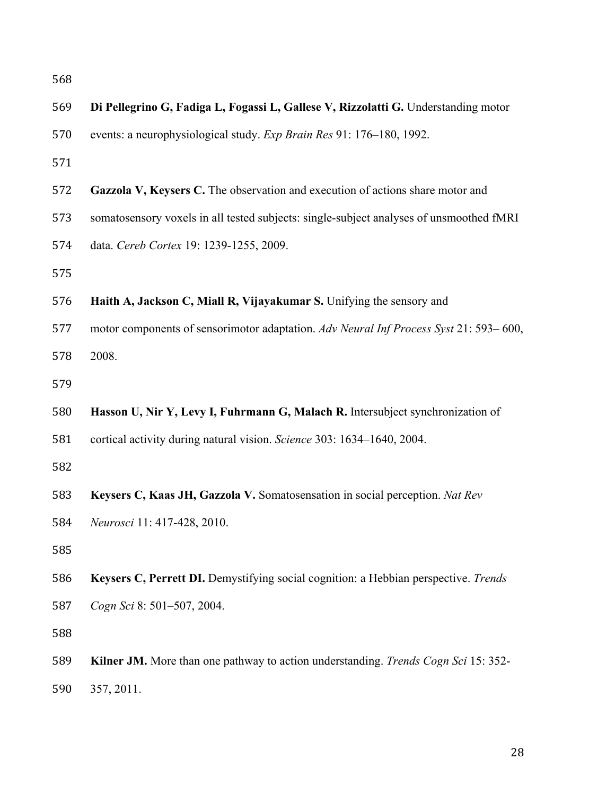| 569 | Di Pellegrino G, Fadiga L, Fogassi L, Gallese V, Rizzolatti G. Understanding motor      |
|-----|-----------------------------------------------------------------------------------------|
| 570 | events: a neurophysiological study. Exp Brain Res 91: 176-180, 1992.                    |
| 571 |                                                                                         |
| 572 | Gazzola V, Keysers C. The observation and execution of actions share motor and          |
| 573 | somatosensory voxels in all tested subjects: single-subject analyses of unsmoothed fMRI |
| 574 | data. Cereb Cortex 19: 1239-1255, 2009.                                                 |
| 575 |                                                                                         |
| 576 | Haith A, Jackson C, Miall R, Vijayakumar S. Unifying the sensory and                    |
| 577 | motor components of sensorimotor adaptation. Adv Neural Inf Process Syst 21: 593–600,   |
| 578 | 2008.                                                                                   |
| 579 |                                                                                         |
| 580 | Hasson U, Nir Y, Levy I, Fuhrmann G, Malach R. Intersubject synchronization of          |
| 581 | cortical activity during natural vision. Science 303: 1634-1640, 2004.                  |
| 582 |                                                                                         |
| 583 | Keysers C, Kaas JH, Gazzola V. Somatosensation in social perception. Nat Rev            |
| 584 | Neurosci 11: 417-428, 2010.                                                             |
| 585 |                                                                                         |
| 586 | Keysers C, Perrett DI. Demystifying social cognition: a Hebbian perspective. Trends     |
| 587 | Cogn Sci 8: 501-507, 2004.                                                              |
| 588 |                                                                                         |
| 589 | Kilner JM. More than one pathway to action understanding. Trends Cogn Sci 15: 352-      |
| 590 | 357, 2011.                                                                              |
|     |                                                                                         |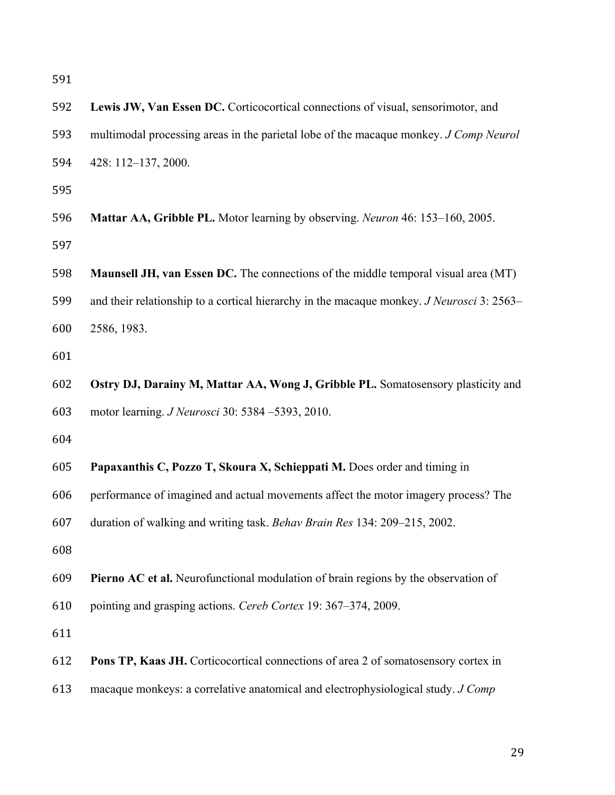| 592 | Lewis JW, Van Essen DC. Corticocortical connections of visual, sensorimotor, and                 |
|-----|--------------------------------------------------------------------------------------------------|
| 593 | multimodal processing areas in the parietal lobe of the macaque monkey. J Comp Neurol            |
| 594 | 428: 112-137, 2000.                                                                              |
| 595 |                                                                                                  |
| 596 | Mattar AA, Gribble PL. Motor learning by observing. Neuron 46: 153–160, 2005.                    |
| 597 |                                                                                                  |
| 598 | <b>Maunsell JH, van Essen DC.</b> The connections of the middle temporal visual area (MT)        |
| 599 | and their relationship to a cortical hierarchy in the macaque monkey. <i>J Neurosci</i> 3: 2563– |
| 600 | 2586, 1983.                                                                                      |
| 601 |                                                                                                  |
| 602 | Ostry DJ, Darainy M, Mattar AA, Wong J, Gribble PL. Somatosensory plasticity and                 |
| 603 | motor learning. <i>J Neurosci</i> 30: 5384 -5393, 2010.                                          |
| 604 |                                                                                                  |
| 605 | Papaxanthis C, Pozzo T, Skoura X, Schieppati M. Does order and timing in                         |
| 606 | performance of imagined and actual movements affect the motor imagery process? The               |
| 607 | duration of walking and writing task. Behav Brain Res 134: 209–215, 2002.                        |
| 608 |                                                                                                  |
| 609 | Pierno AC et al. Neurofunctional modulation of brain regions by the observation of               |
| 610 | pointing and grasping actions. Cereb Cortex 19: 367–374, 2009.                                   |
| 611 |                                                                                                  |
| 612 | Pons TP, Kaas JH. Corticocortical connections of area 2 of somatosensory cortex in               |
| 613 | macaque monkeys: a correlative anatomical and electrophysiological study. J Comp                 |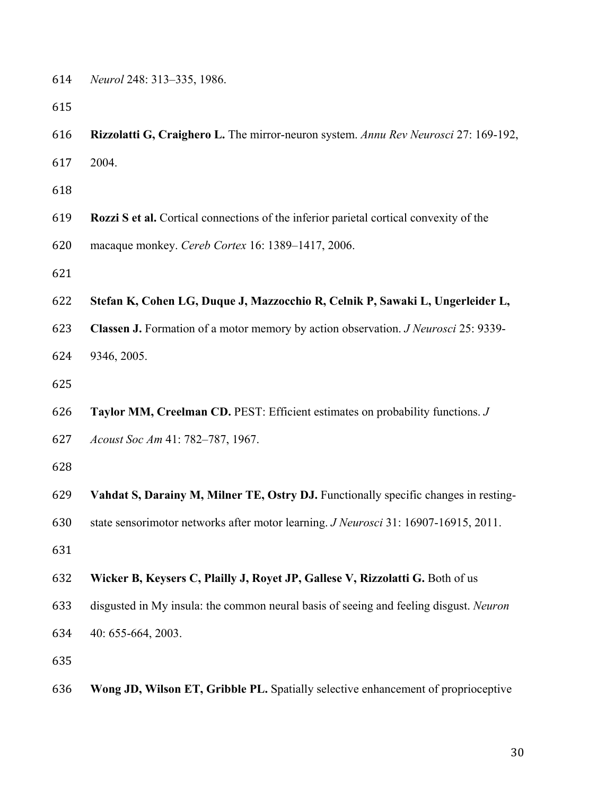| 614 | <i>Neurol</i> 248: 313–335, 1986. |  |  |
|-----|-----------------------------------|--|--|
|-----|-----------------------------------|--|--|

- **Rizzolatti G, Craighero L.** The mirror-neuron system. *Annu Rev Neurosci* 27: 169-192,
- 2004.

- **Rozzi S et al.** Cortical connections of the inferior parietal cortical convexity of the
- macaque monkey. *Cereb Cortex* 16: 1389–1417, 2006.
- 
- **Stefan K, Cohen LG, Duque J, Mazzocchio R, Celnik P, Sawaki L, Ungerleider L,**
- **Classen J.** Formation of a motor memory by action observation. *J Neurosci* 25: 9339-
- 9346, 2005.
- 
- **Taylor MM, Creelman CD.** PEST: Efficient estimates on probability functions. *J*
- *Acoust Soc Am* 41: 782–787, 1967.
- 
- **Vahdat S, Darainy M, Milner TE, Ostry DJ.** Functionally specific changes in resting-
- state sensorimotor networks after motor learning. *J Neurosci* 31: 16907-16915, 2011.
- 
- **Wicker B, Keysers C, Plailly J, Royet JP, Gallese V, Rizzolatti G.** Both of us
- disgusted in My insula: the common neural basis of seeing and feeling disgust. *Neuron*
- 40: 655-664, 2003.
- 
- **Wong JD, Wilson ET, Gribble PL.** Spatially selective enhancement of proprioceptive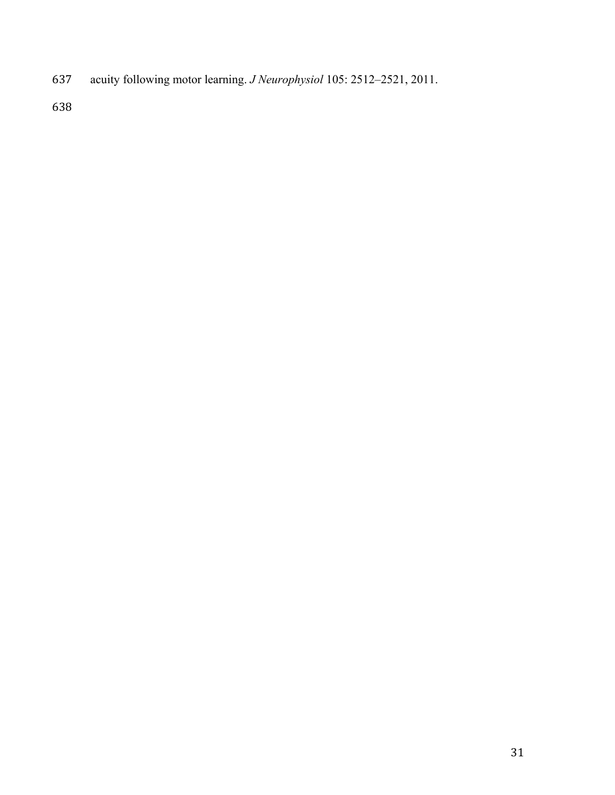acuity following motor learning. *J Neurophysiol* 105: 2512–2521, 2011.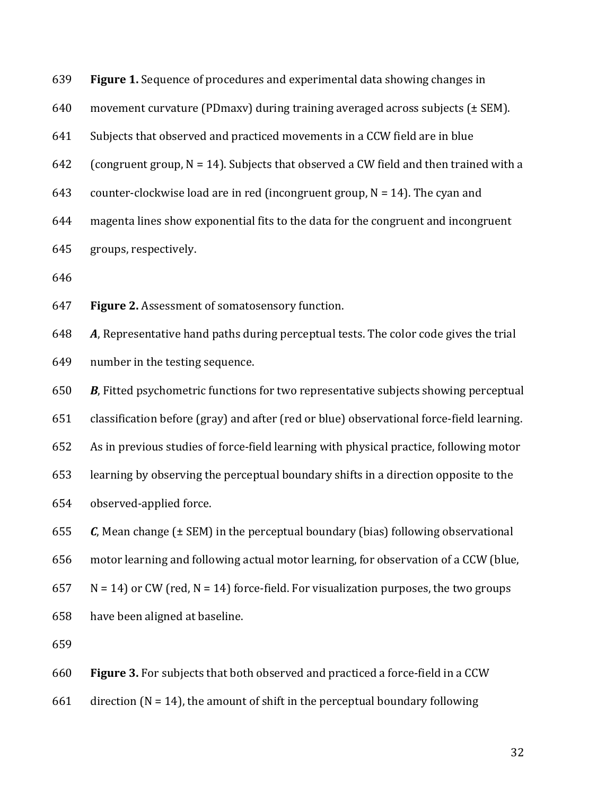| 639 | Figure 1. Sequence of procedures and experimental data showing changes in                 |
|-----|-------------------------------------------------------------------------------------------|
| 640 | movement curvature (PDmaxv) during training averaged across subjects (± SEM).             |
| 641 | Subjects that observed and practiced movements in a CCW field are in blue                 |
| 642 | (congruent group, $N = 14$ ). Subjects that observed a CW field and then trained with a   |
| 643 | counter-clockwise load are in red (incongruent group, $N = 14$ ). The cyan and            |
| 644 | magenta lines show exponential fits to the data for the congruent and incongruent         |
| 645 | groups, respectively.                                                                     |
| 646 |                                                                                           |
| 647 | Figure 2. Assessment of somatosensory function.                                           |
| 648 | A, Representative hand paths during perceptual tests. The color code gives the trial      |
| 649 | number in the testing sequence.                                                           |
| 650 | B, Fitted psychometric functions for two representative subjects showing perceptual       |
| 651 | classification before (gray) and after (red or blue) observational force-field learning.  |
| 652 | As in previous studies of force-field learning with physical practice, following motor    |
| 653 | learning by observing the perceptual boundary shifts in a direction opposite to the       |
| 654 | observed-applied force.                                                                   |
| 655 | $C$ , Mean change ( $\pm$ SEM) in the perceptual boundary (bias) following observational  |
| 656 | motor learning and following actual motor learning, for observation of a CCW (blue,       |
| 657 | $N = 14$ ) or CW (red, $N = 14$ ) force-field. For visualization purposes, the two groups |
| 658 | have been aligned at baseline.                                                            |
| 659 |                                                                                           |
| 660 | Figure 3. For subjects that both observed and practiced a force-field in a CCW            |
| 661 | direction ( $N = 14$ ), the amount of shift in the perceptual boundary following          |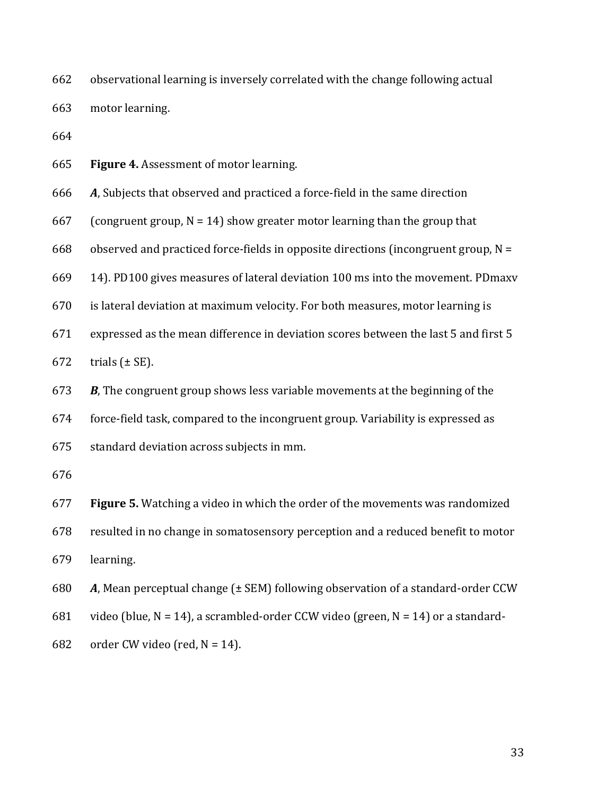662 observational learning is inversely correlated with the change following actual

663 motor learning.

664

665 **Figure 4.** Assessment of motor learning.

666 *A*, Subjects that observed and practiced a force-field in the same direction

667 (congruent group,  $N = 14$ ) show greater motor learning than the group that

668 observed and practiced force-fields in opposite directions (incongruent group,  $N =$ 

669 14). PD100 gives measures of lateral deviation 100 ms into the movement. PDmaxv

670 is lateral deviation at maximum velocity. For both measures, motor learning is

671 expressed as the mean difference in deviation scores between the last 5 and first 5

672 trials  $(\pm SE)$ .

673 *B*, The congruent group shows less variable movements at the beginning of the

674 force-field task, compared to the incongruent group. Variability is expressed as

675 standard deviation across subjects in mm.

676

677 **Figure 5.** Watching a video in which the order of the movements was randomized

678 resulted in no change in somatosensory perception and a reduced benefit to motor 679 learning.

680 *A*, Mean perceptual change (± SEM) following observation of a standard-order CCW

681 video (blue,  $N = 14$ ), a scrambled-order CCW video (green,  $N = 14$ ) or a standard-

682 order CW video (red,  $N = 14$ ).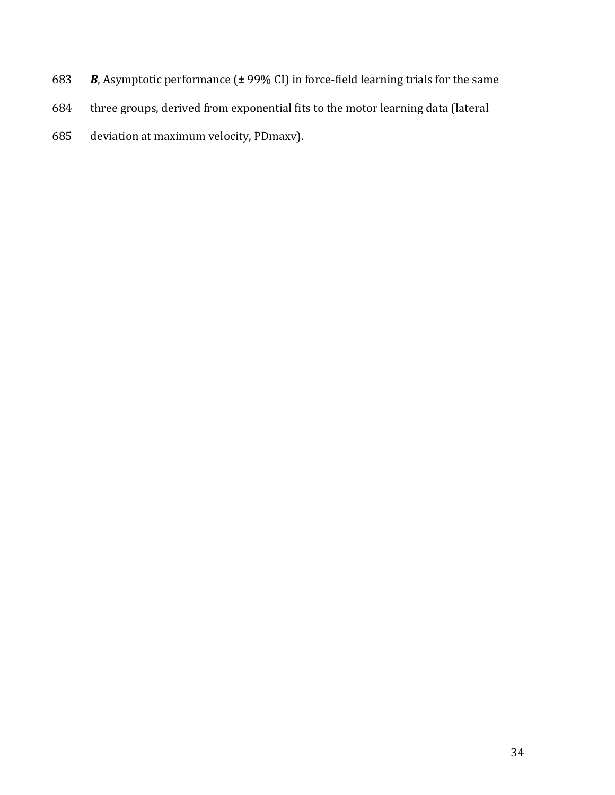- 683 *B*, Asymptotic performance (± 99% CI) in force-field learning trials for the same
- 684 three groups, derived from exponential fits to the motor learning data (lateral
- 685 deviation at maximum velocity, PDmaxv).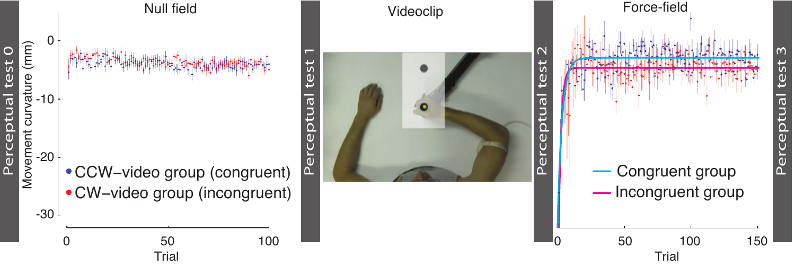



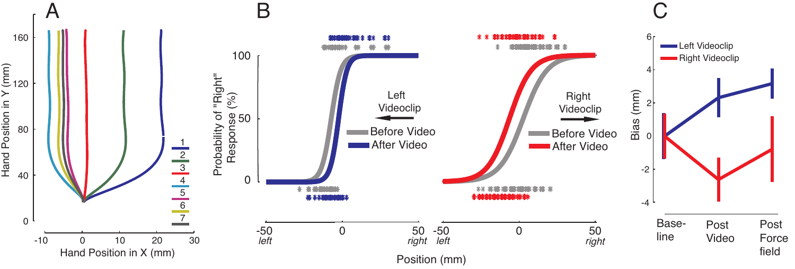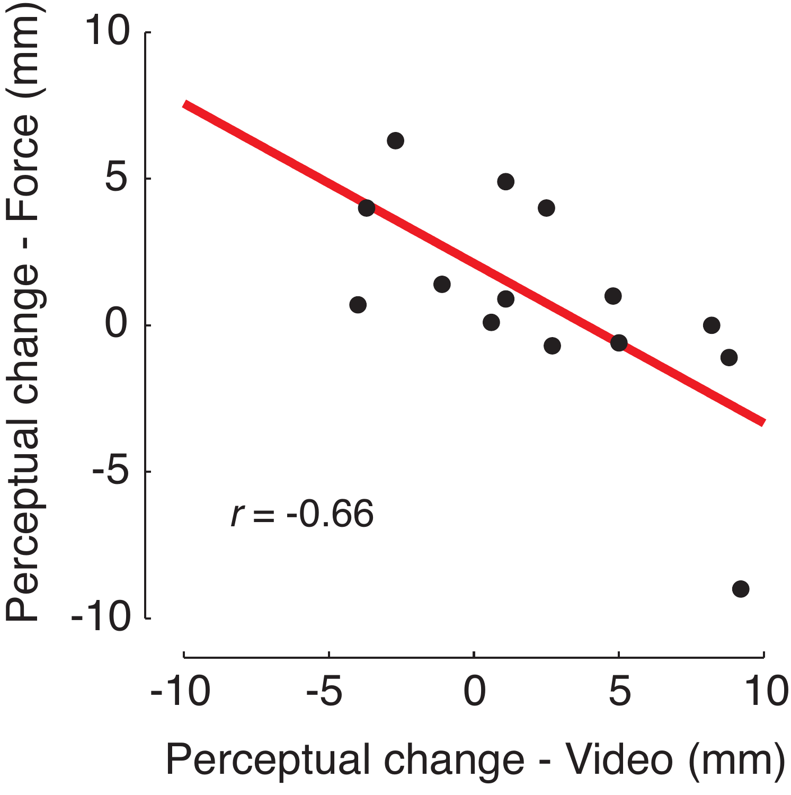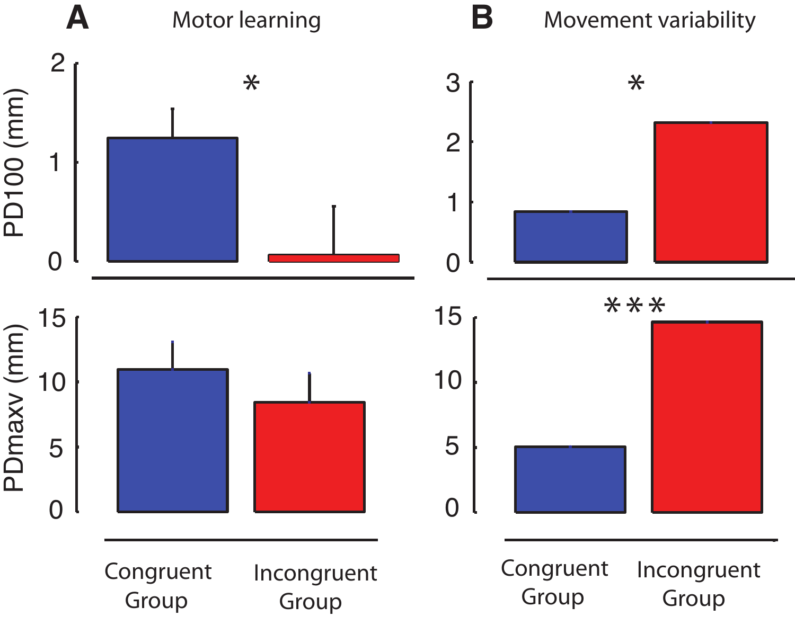